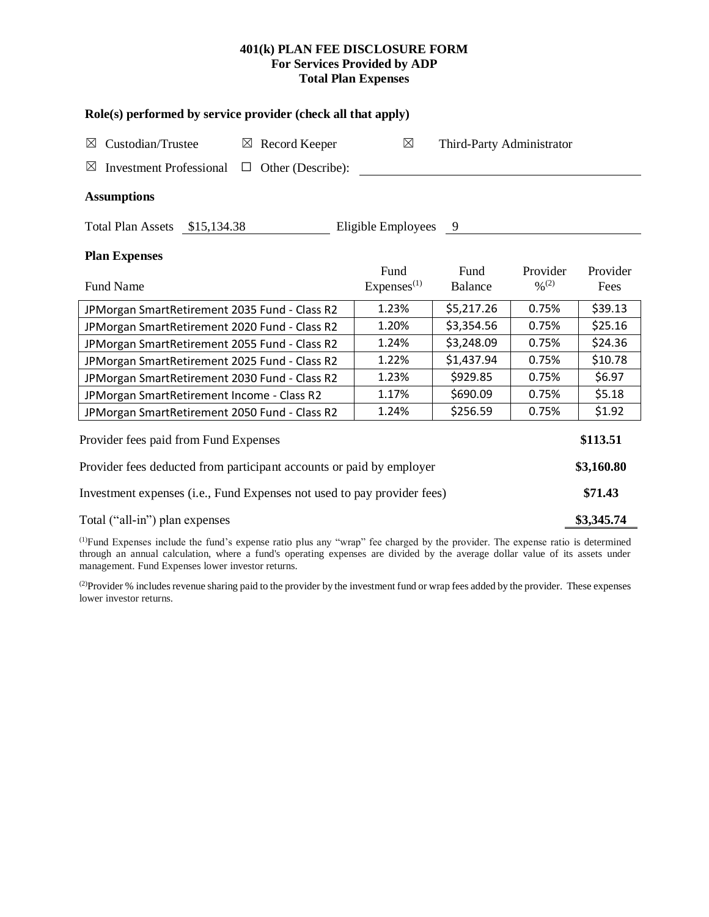# **401(k) PLAN FEE DISCLOSURE FORM For Services Provided by ADP Total Plan Expenses**

| Role(s) performed by service provider (check all that apply)                 |                                          |                        |                                          |                  |  |  |  |  |  |
|------------------------------------------------------------------------------|------------------------------------------|------------------------|------------------------------------------|------------------|--|--|--|--|--|
| Custodian/Trustee<br>$\boxtimes$ Record Keeper<br>$\boxtimes$                | $\boxtimes$<br>Third-Party Administrator |                        |                                          |                  |  |  |  |  |  |
| <b>Investment Professional</b><br>Other (Describe):<br>$\boxtimes$<br>$\Box$ |                                          |                        |                                          |                  |  |  |  |  |  |
| <b>Assumptions</b>                                                           |                                          |                        |                                          |                  |  |  |  |  |  |
| Total Plan Assets \$15,134.38                                                | Eligible Employees 9                     |                        |                                          |                  |  |  |  |  |  |
| <b>Plan Expenses</b>                                                         |                                          |                        |                                          |                  |  |  |  |  |  |
| <b>Fund Name</b>                                                             | Fund<br>Express <sup>(1)</sup>           | Fund<br><b>Balance</b> | Provider<br>$\frac{0}{2}$ <sup>(2)</sup> | Provider<br>Fees |  |  |  |  |  |
| JPMorgan SmartRetirement 2035 Fund - Class R2                                | 1.23%                                    | \$5,217.26             | 0.75%                                    | \$39.13          |  |  |  |  |  |
| JPMorgan SmartRetirement 2020 Fund - Class R2                                | 1.20%                                    | \$3,354.56             | 0.75%                                    | \$25.16          |  |  |  |  |  |
| JPMorgan SmartRetirement 2055 Fund - Class R2                                | 1.24%                                    | \$3,248.09             | 0.75%                                    | \$24.36          |  |  |  |  |  |
| JPMorgan SmartRetirement 2025 Fund - Class R2                                | 1.22%                                    | \$1,437.94             | 0.75%                                    | \$10.78          |  |  |  |  |  |
| JPMorgan SmartRetirement 2030 Fund - Class R2                                | 1.23%                                    | \$929.85               | 0.75%                                    | \$6.97           |  |  |  |  |  |
| JPMorgan SmartRetirement Income - Class R2                                   | 1.17%                                    | \$690.09               | 0.75%                                    | \$5.18           |  |  |  |  |  |
| JPMorgan SmartRetirement 2050 Fund - Class R2                                | 1.24%                                    | \$256.59               | 0.75%                                    | \$1.92           |  |  |  |  |  |
| Provider fees paid from Fund Expenses                                        |                                          |                        |                                          | \$113.51         |  |  |  |  |  |
| Provider fees deducted from participant accounts or paid by employer         |                                          |                        |                                          |                  |  |  |  |  |  |
| Investment expenses (i.e., Fund Expenses not used to pay provider fees)      |                                          |                        |                                          |                  |  |  |  |  |  |
| Total ("all-in") plan expenses                                               |                                          |                        |                                          |                  |  |  |  |  |  |

(1)Fund Expenses include the fund's expense ratio plus any "wrap" fee charged by the provider. The expense ratio is determined through an annual calculation, where a fund's operating expenses are divided by the average dollar value of its assets under management. Fund Expenses lower investor returns.

<sup>(2)</sup>Provider % includes revenue sharing paid to the provider by the investment fund or wrap fees added by the provider. These expenses lower investor returns.